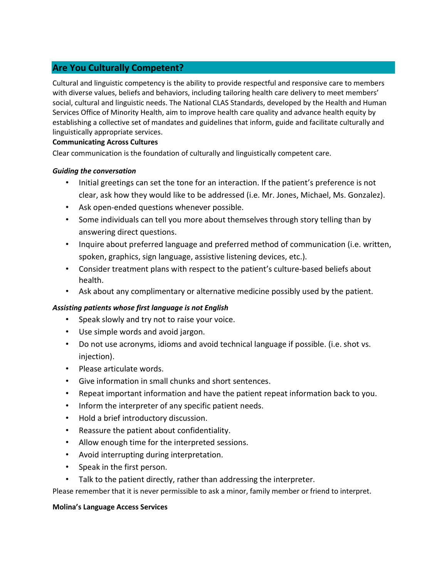# Are You Culturally Competent?

Cultural and linguistic competency is the ability to provide respectful and responsive care to members with diverse values, beliefs and behaviors, including tailoring health care delivery to meet members' social, cultural and linguistic needs. The National CLAS Standards, developed by the Health and Human Services Office of Minority Health, aim to improve health care quality and advance health equity by establishing a collective set of mandates and guidelines that inform, guide and facilitate culturally and linguistically appropriate services.

### Communicating Across Cultures

Clear communication is the foundation of culturally and linguistically competent care.

### Guiding the conversation

- Initial greetings can set the tone for an interaction. If the patient's preference is not clear, ask how they would like to be addressed (i.e. Mr. Jones, Michael, Ms. Gonzalez).
- Ask open-ended questions whenever possible.
- Some individuals can tell you more about themselves through story telling than by answering direct questions.
- Inquire about preferred language and preferred method of communication (i.e. written, spoken, graphics, sign language, assistive listening devices, etc.).
- Consider treatment plans with respect to the patient's culture-based beliefs about health.
- Ask about any complimentary or alternative medicine possibly used by the patient.

## Assisting patients whose first language is not English

- Speak slowly and try not to raise your voice.
- Use simple words and avoid jargon.
- Do not use acronyms, idioms and avoid technical language if possible. (i.e. shot vs. injection).
- Please articulate words.
- Give information in small chunks and short sentences.
- Repeat important information and have the patient repeat information back to you.
- Inform the interpreter of any specific patient needs.
- Hold a brief introductory discussion.
- Reassure the patient about confidentiality.
- Allow enough time for the interpreted sessions.
- Avoid interrupting during interpretation.
- Speak in the first person.
- Talk to the patient directly, rather than addressing the interpreter.

Please remember that it is never permissible to ask a minor, family member or friend to interpret.

### Molina's Language Access Services